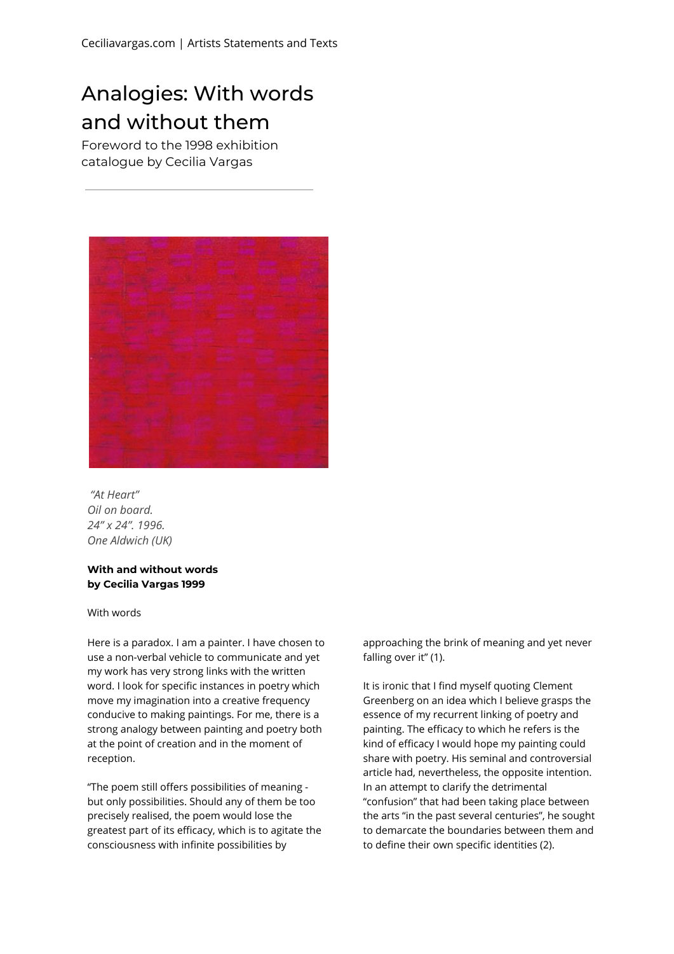## Analogies: With words and without them

Foreword to the 1998 exhibition catalogue by Cecilia Vargas



*"At Heart" Oil on board. 24" x 24". 1996. One Aldwich (UK)*

## **With and without words by Cecilia Vargas 1999**

## With words

Here is a paradox. I am a painter. I have chosen to use a non-verbal vehicle to communicate and yet my work has very strong links with the written word. I look for specific instances in poetry which move my imagination into a creative frequency conducive to making paintings. For me, there is a strong analogy between painting and poetry both at the point of creation and in the moment of reception.

"The poem still offers possibilities of meaning but only possibilities. Should any of them be too precisely realised, the poem would lose the greatest part of its efficacy, which is to agitate the consciousness with infinite possibilities by

approaching the brink of meaning and yet never falling over it" (1).

It is ironic that I find myself quoting Clement Greenberg on an idea which I believe grasps the essence of my recurrent linking of poetry and painting. The efficacy to which he refers is the kind of efficacy I would hope my painting could share with poetry. His seminal and controversial article had, nevertheless, the opposite intention. In an attempt to clarify the detrimental "confusion" that had been taking place between the arts "in the past several centuries", he sought to demarcate the boundaries between them and to define their own specific identities (2).